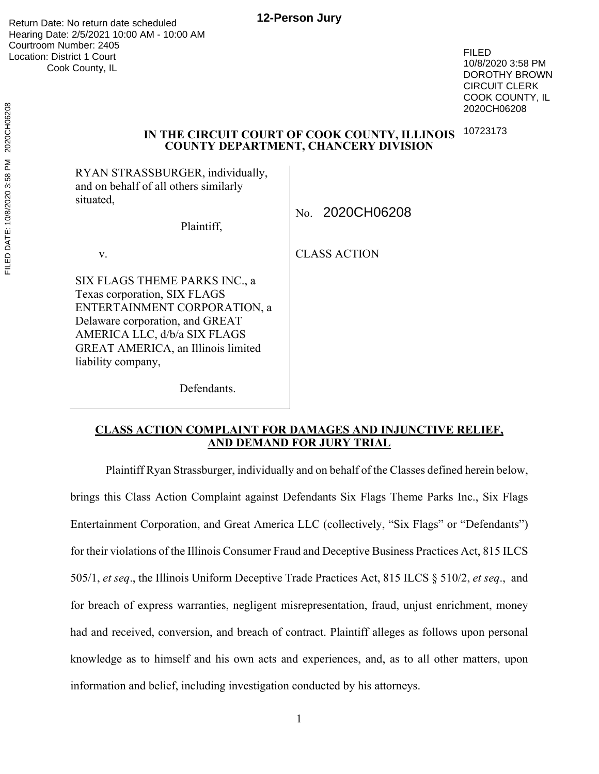**12-Person Jury**

Return Date: No return date scheduled Hearing Date: 2/5/2021 10:00 AM - 10:00 AM Courtroom Number: 2405 Location: District 1 Court Cook County, IL

FILED 10/8/2020 3:58 PM DOROTHY BROWN CIRCUIT CLERK COOK COUNTY, IL 2020CH06208

#### **IN THE CIRCUIT COURT OF COOK COUNTY, ILLINOIS COUNTY DEPARTMENT, CHANCERY DIVISION** 10723173

RYAN STRASSBURGER, individually, and on behalf of all others similarly situated,

| Plaintiff, |  |
|------------|--|
|            |  |

Defendants.

v.

SIX FLAGS THEME PARKS INC., a Texas corporation, SIX FLAGS ENTERTAINMENT CORPORATION, a Delaware corporation, and GREAT AMERICA LLC, d/b/a SIX FLAGS GREAT AMERICA, an Illinois limited liability company,

No. 2020CH06208

CLASS ACTION

## **CLASS ACTION COMPLAINT FOR DAMAGES AND INJUNCTIVE RELIEF, AND DEMAND FOR JURY TRIAL**

Plaintiff Ryan Strassburger, individually and on behalf of the Classes defined herein below, brings this Class Action Complaint against Defendants Six Flags Theme Parks Inc., Six Flags Entertainment Corporation, and Great America LLC (collectively, "Six Flags" or "Defendants") for their violations of the Illinois Consumer Fraud and Deceptive Business Practices Act, 815 ILCS 505/1, *et seq*., the Illinois Uniform Deceptive Trade Practices Act, 815 ILCS § 510/2, *et seq*., and for breach of express warranties, negligent misrepresentation, fraud, unjust enrichment, money had and received, conversion, and breach of contract. Plaintiff alleges as follows upon personal knowledge as to himself and his own acts and experiences, and, as to all other matters, upon information and belief, including investigation conducted by his attorneys.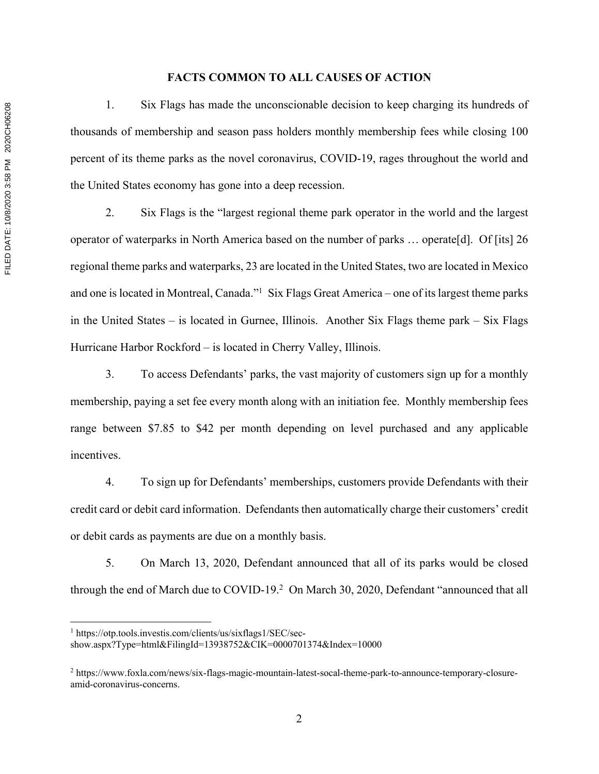#### **FACTS COMMON TO ALL CAUSES OF ACTION**

1. Six Flags has made the unconscionable decision to keep charging its hundreds of thousands of membership and season pass holders monthly membership fees while closing 100 percent of its theme parks as the novel coronavirus, COVID-19, rages throughout the world and the United States economy has gone into a deep recession.

2. Six Flags is the "largest regional theme park operator in the world and the largest operator of waterparks in North America based on the number of parks … operate[d]. Of [its] 26 regional theme parks and waterparks, 23 are located in the United States, two are located in Mexico and one is located in Montreal, Canada."<sup>1</sup> Six Flags Great America – one of its largest theme parks in the United States – is located in Gurnee, Illinois. Another Six Flags theme park – Six Flags Hurricane Harbor Rockford – is located in Cherry Valley, Illinois.

3. To access Defendants' parks, the vast majority of customers sign up for a monthly membership, paying a set fee every month along with an initiation fee. Monthly membership fees range between \$7.85 to \$42 per month depending on level purchased and any applicable incentives.

4. To sign up for Defendants' memberships, customers provide Defendants with their credit card or debit card information. Defendants then automatically charge their customers' credit or debit cards as payments are due on a monthly basis.

5. On March 13, 2020, Defendant announced that all of its parks would be closed through the end of March due to COVID-19.<sup>2</sup> On March 30, 2020, Defendant "announced that all

<sup>1</sup> https://otp.tools.investis.com/clients/us/sixflags1/SEC/sec-

show.aspx?Type=html&FilingId=13938752&CIK=0000701374&Index=10000

<sup>2</sup> https://www.foxla.com/news/six-flags-magic-mountain-latest-socal-theme-park-to-announce-temporary-closureamid-coronavirus-concerns.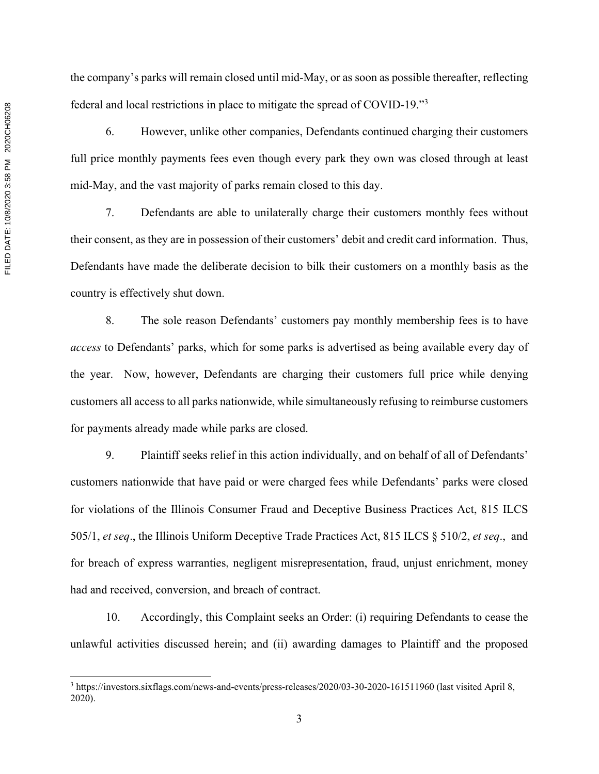FILED DATE: 10/8/2020 3:58 PM 2020CH06208 FILED DATE: 10/8/2020 3:58 PM 2020CH06208

the company's parks will remain closed until mid-May, or as soon as possible thereafter, reflecting federal and local restrictions in place to mitigate the spread of COVID-19."3

6. However, unlike other companies, Defendants continued charging their customers full price monthly payments fees even though every park they own was closed through at least mid-May, and the vast majority of parks remain closed to this day.

7. Defendants are able to unilaterally charge their customers monthly fees without their consent, as they are in possession of their customers' debit and credit card information. Thus, Defendants have made the deliberate decision to bilk their customers on a monthly basis as the country is effectively shut down.

8. The sole reason Defendants' customers pay monthly membership fees is to have *access* to Defendants' parks, which for some parks is advertised as being available every day of the year. Now, however, Defendants are charging their customers full price while denying customers all access to all parks nationwide, while simultaneously refusing to reimburse customers for payments already made while parks are closed.

9. Plaintiff seeks relief in this action individually, and on behalf of all of Defendants' customers nationwide that have paid or were charged fees while Defendants' parks were closed for violations of the Illinois Consumer Fraud and Deceptive Business Practices Act, 815 ILCS 505/1, *et seq*., the Illinois Uniform Deceptive Trade Practices Act, 815 ILCS § 510/2, *et seq*., and for breach of express warranties, negligent misrepresentation, fraud, unjust enrichment, money had and received, conversion, and breach of contract.

10. Accordingly, this Complaint seeks an Order: (i) requiring Defendants to cease the unlawful activities discussed herein; and (ii) awarding damages to Plaintiff and the proposed

<sup>3</sup> https://investors.sixflags.com/news-and-events/press-releases/2020/03-30-2020-161511960 (last visited April 8, 2020).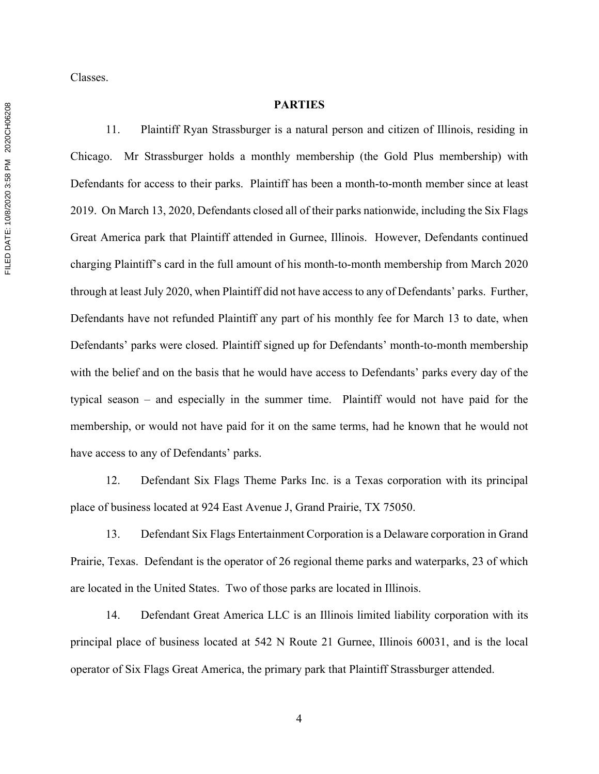Classes.

#### **PARTIES**

11. Plaintiff Ryan Strassburger is a natural person and citizen of Illinois, residing in Chicago. Mr Strassburger holds a monthly membership (the Gold Plus membership) with Defendants for access to their parks. Plaintiff has been a month-to-month member since at least 2019. On March 13, 2020, Defendants closed all of their parks nationwide, including the Six Flags Great America park that Plaintiff attended in Gurnee, Illinois. However, Defendants continued charging Plaintiff's card in the full amount of his month-to-month membership from March 2020 through at least July 2020, when Plaintiff did not have access to any of Defendants' parks. Further, Defendants have not refunded Plaintiff any part of his monthly fee for March 13 to date, when Defendants' parks were closed. Plaintiff signed up for Defendants' month-to-month membership with the belief and on the basis that he would have access to Defendants' parks every day of the typical season – and especially in the summer time. Plaintiff would not have paid for the membership, or would not have paid for it on the same terms, had he known that he would not have access to any of Defendants' parks.

12. Defendant Six Flags Theme Parks Inc. is a Texas corporation with its principal place of business located at 924 East Avenue J, Grand Prairie, TX 75050.

13. Defendant Six Flags Entertainment Corporation is a Delaware corporation in Grand Prairie, Texas. Defendant is the operator of 26 regional theme parks and waterparks, 23 of which are located in the United States. Two of those parks are located in Illinois.

14. Defendant Great America LLC is an Illinois limited liability corporation with its principal place of business located at 542 N Route 21 Gurnee, Illinois 60031, and is the local operator of Six Flags Great America, the primary park that Plaintiff Strassburger attended.

FILED DATE: 10/8/2020 3:58 PM 2020CH06208 FILED DATE: 10/8/2020 3:58 PM 2020CH06208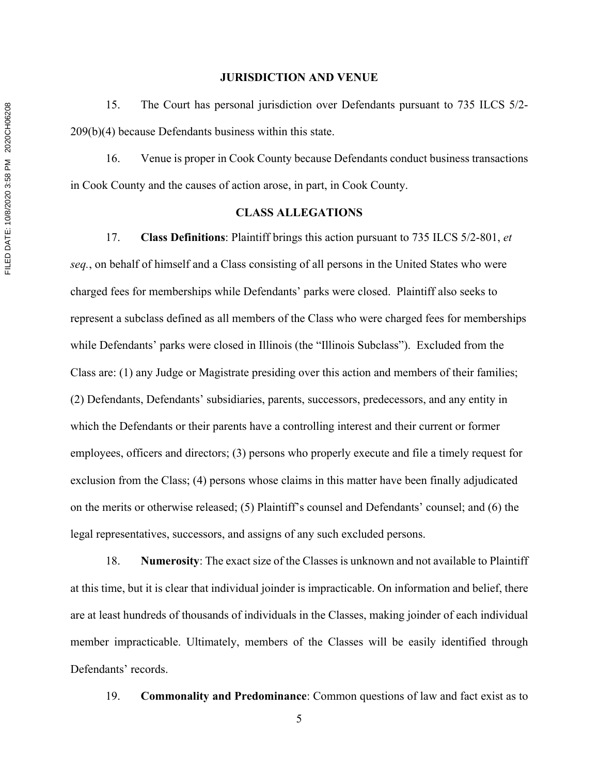#### **JURISDICTION AND VENUE**

15. The Court has personal jurisdiction over Defendants pursuant to 735 ILCS 5/2- 209(b)(4) because Defendants business within this state.

16. Venue is proper in Cook County because Defendants conduct business transactions in Cook County and the causes of action arose, in part, in Cook County.

#### **CLASS ALLEGATIONS**

17. **Class Definitions**: Plaintiff brings this action pursuant to 735 ILCS 5/2-801, *et seq.*, on behalf of himself and a Class consisting of all persons in the United States who were charged fees for memberships while Defendants' parks were closed. Plaintiff also seeks to represent a subclass defined as all members of the Class who were charged fees for memberships while Defendants' parks were closed in Illinois (the "Illinois Subclass"). Excluded from the Class are: (1) any Judge or Magistrate presiding over this action and members of their families; (2) Defendants, Defendants' subsidiaries, parents, successors, predecessors, and any entity in which the Defendants or their parents have a controlling interest and their current or former employees, officers and directors; (3) persons who properly execute and file a timely request for exclusion from the Class; (4) persons whose claims in this matter have been finally adjudicated on the merits or otherwise released; (5) Plaintiff's counsel and Defendants' counsel; and (6) the legal representatives, successors, and assigns of any such excluded persons.

18. **Numerosity**: The exact size of the Classes is unknown and not available to Plaintiff at this time, but it is clear that individual joinder is impracticable. On information and belief, there are at least hundreds of thousands of individuals in the Classes, making joinder of each individual member impracticable. Ultimately, members of the Classes will be easily identified through Defendants' records.

19. **Commonality and Predominance**: Common questions of law and fact exist as to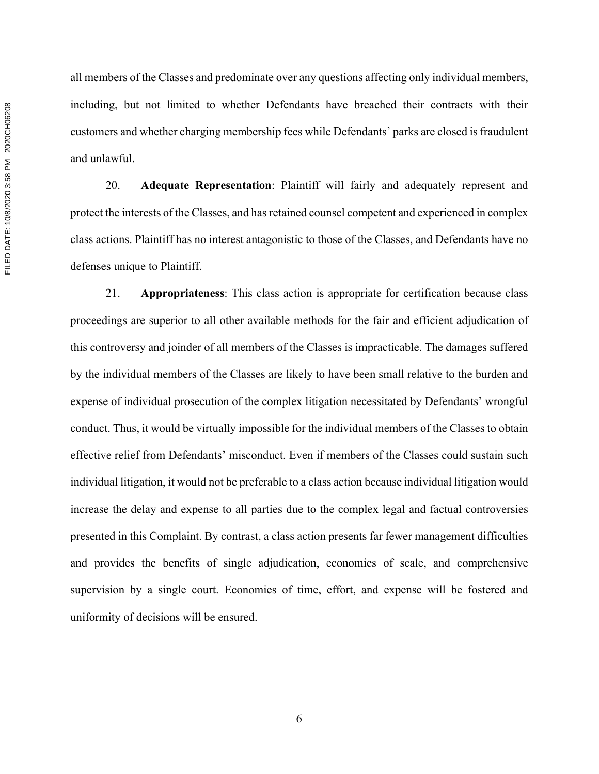all members of the Classes and predominate over any questions affecting only individual members, including, but not limited to whether Defendants have breached their contracts with their customers and whether charging membership fees while Defendants' parks are closed is fraudulent and unlawful.

20. **Adequate Representation**: Plaintiff will fairly and adequately represent and protect the interests of the Classes, and has retained counsel competent and experienced in complex class actions. Plaintiff has no interest antagonistic to those of the Classes, and Defendants have no defenses unique to Plaintiff.

21. **Appropriateness**: This class action is appropriate for certification because class proceedings are superior to all other available methods for the fair and efficient adjudication of this controversy and joinder of all members of the Classes is impracticable. The damages suffered by the individual members of the Classes are likely to have been small relative to the burden and expense of individual prosecution of the complex litigation necessitated by Defendants' wrongful conduct. Thus, it would be virtually impossible for the individual members of the Classes to obtain effective relief from Defendants' misconduct. Even if members of the Classes could sustain such individual litigation, it would not be preferable to a class action because individual litigation would increase the delay and expense to all parties due to the complex legal and factual controversies presented in this Complaint. By contrast, a class action presents far fewer management difficulties and provides the benefits of single adjudication, economies of scale, and comprehensive supervision by a single court. Economies of time, effort, and expense will be fostered and uniformity of decisions will be ensured.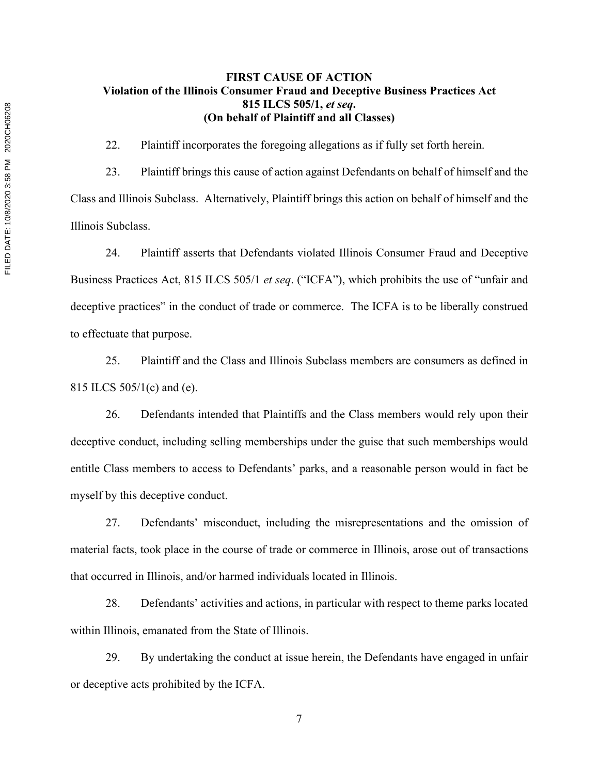## **FIRST CAUSE OF ACTION Violation of the Illinois Consumer Fraud and Deceptive Business Practices Act 815 ILCS 505/1,** *et seq***. (On behalf of Plaintiff and all Classes)**

22. Plaintiff incorporates the foregoing allegations as if fully set forth herein.

23. Plaintiff brings this cause of action against Defendants on behalf of himself and the Class and Illinois Subclass. Alternatively, Plaintiff brings this action on behalf of himself and the Illinois Subclass.

24. Plaintiff asserts that Defendants violated Illinois Consumer Fraud and Deceptive Business Practices Act, 815 ILCS 505/1 *et seq*. ("ICFA"), which prohibits the use of "unfair and deceptive practices" in the conduct of trade or commerce. The ICFA is to be liberally construed to effectuate that purpose.

25. Plaintiff and the Class and Illinois Subclass members are consumers as defined in 815 ILCS 505/1(c) and (e).

26. Defendants intended that Plaintiffs and the Class members would rely upon their deceptive conduct, including selling memberships under the guise that such memberships would entitle Class members to access to Defendants' parks, and a reasonable person would in fact be myself by this deceptive conduct.

27. Defendants' misconduct, including the misrepresentations and the omission of material facts, took place in the course of trade or commerce in Illinois, arose out of transactions that occurred in Illinois, and/or harmed individuals located in Illinois.

28. Defendants' activities and actions, in particular with respect to theme parks located within Illinois, emanated from the State of Illinois.

29. By undertaking the conduct at issue herein, the Defendants have engaged in unfair or deceptive acts prohibited by the ICFA.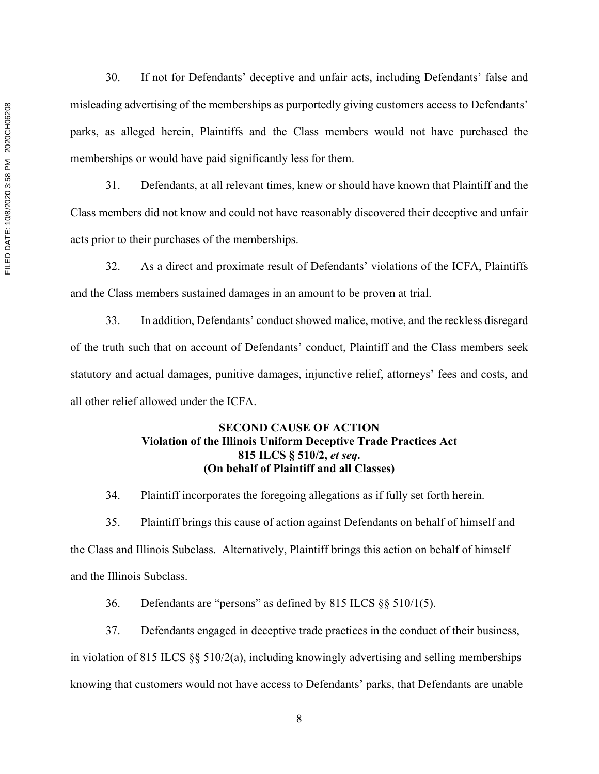30. If not for Defendants' deceptive and unfair acts, including Defendants' false and misleading advertising of the memberships as purportedly giving customers access to Defendants' parks, as alleged herein, Plaintiffs and the Class members would not have purchased the memberships or would have paid significantly less for them.

31. Defendants, at all relevant times, knew or should have known that Plaintiff and the Class members did not know and could not have reasonably discovered their deceptive and unfair acts prior to their purchases of the memberships.

32. As a direct and proximate result of Defendants' violations of the ICFA, Plaintiffs and the Class members sustained damages in an amount to be proven at trial.

33. In addition, Defendants' conduct showed malice, motive, and the reckless disregard of the truth such that on account of Defendants' conduct, Plaintiff and the Class members seek statutory and actual damages, punitive damages, injunctive relief, attorneys' fees and costs, and all other relief allowed under the ICFA.

## **SECOND CAUSE OF ACTION Violation of the Illinois Uniform Deceptive Trade Practices Act 815 ILCS § 510/2,** *et seq***. (On behalf of Plaintiff and all Classes)**

34. Plaintiff incorporates the foregoing allegations as if fully set forth herein.

35. Plaintiff brings this cause of action against Defendants on behalf of himself and the Class and Illinois Subclass. Alternatively, Plaintiff brings this action on behalf of himself and the Illinois Subclass.

36. Defendants are "persons" as defined by 815 ILCS §§ 510/1(5).

37. Defendants engaged in deceptive trade practices in the conduct of their business, in violation of 815 ILCS  $\S$  5  $\frac{510}{2}$ (a), including knowingly advertising and selling memberships knowing that customers would not have access to Defendants' parks, that Defendants are unable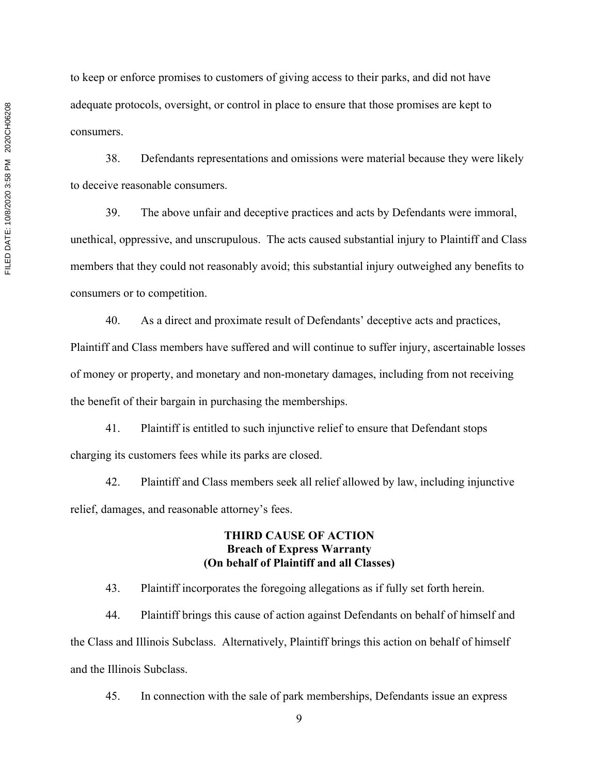to keep or enforce promises to customers of giving access to their parks, and did not have adequate protocols, oversight, or control in place to ensure that those promises are kept to consumers.

38. Defendants representations and omissions were material because they were likely to deceive reasonable consumers.

39. The above unfair and deceptive practices and acts by Defendants were immoral, unethical, oppressive, and unscrupulous. The acts caused substantial injury to Plaintiff and Class members that they could not reasonably avoid; this substantial injury outweighed any benefits to consumers or to competition.

40. As a direct and proximate result of Defendants' deceptive acts and practices, Plaintiff and Class members have suffered and will continue to suffer injury, ascertainable losses of money or property, and monetary and non-monetary damages, including from not receiving the benefit of their bargain in purchasing the memberships.

41. Plaintiff is entitled to such injunctive relief to ensure that Defendant stops charging its customers fees while its parks are closed.

42. Plaintiff and Class members seek all relief allowed by law, including injunctive relief, damages, and reasonable attorney's fees.

#### **THIRD CAUSE OF ACTION Breach of Express Warranty (On behalf of Plaintiff and all Classes)**

43. Plaintiff incorporates the foregoing allegations as if fully set forth herein.

44. Plaintiff brings this cause of action against Defendants on behalf of himself and the Class and Illinois Subclass. Alternatively, Plaintiff brings this action on behalf of himself and the Illinois Subclass.

45. In connection with the sale of park memberships, Defendants issue an express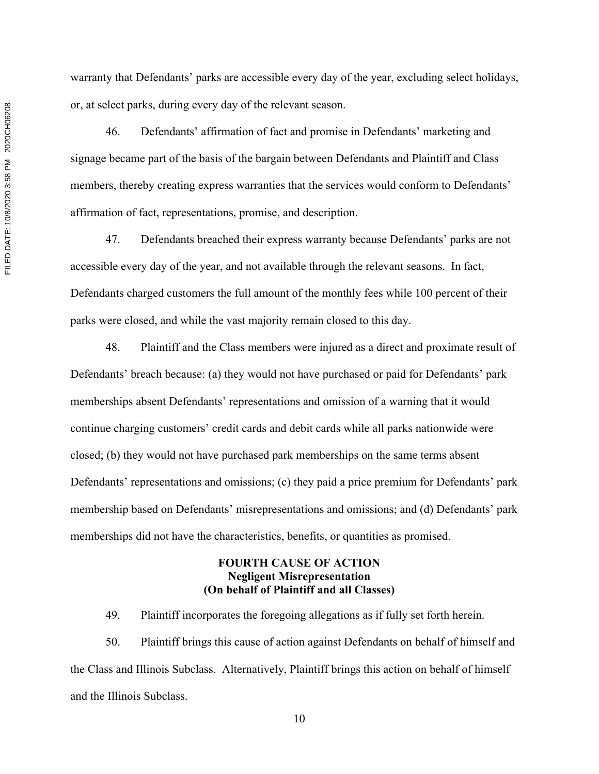warranty that Defendants' parks are accessible every day of the year, excluding select holidays, or, at select parks, during every day of the relevant season.

46. Defendants' affirmation of fact and promise in Defendants' marketing and signage became part of the basis of the bargain between Defendants and Plaintiff and Class members, thereby creating express warranties that the services would conform to Defendants' affirmation of fact, representations, promise, and description.

47. Defendants breached their express warranty because Defendants' parks are not accessible every day of the year, and not available through the relevant seasons. In fact, Defendants charged customers the full amount of the monthly fees while 100 percent of their parks were closed, and while the vast majority remain closed to this day.

48. Plaintiff and the Class members were injured as a direct and proximate result of Defendants' breach because: (a) they would not have purchased or paid for Defendants' park memberships absent Defendants' representations and omission of a warning that it would continue charging customers' credit cards and debit cards while all parks nationwide were closed; (b) they would not have purchased park memberships on the same terms absent Defendants' representations and omissions; (c) they paid a price premium for Defendants' park membership based on Defendants' misrepresentations and omissions; and (d) Defendants' park memberships did not have the characteristics, benefits, or quantities as promised.

### **FOURTH CAUSE OF ACTION Negligent Misrepresentation (On behalf of Plaintiff and all Classes)**

49. Plaintiff incorporates the foregoing allegations as if fully set forth herein.

50. Plaintiff brings this cause of action against Defendants on behalf of himself and the Class and Illinois Subclass. Alternatively, Plaintiff brings this action on behalf of himself and the Illinois Subclass.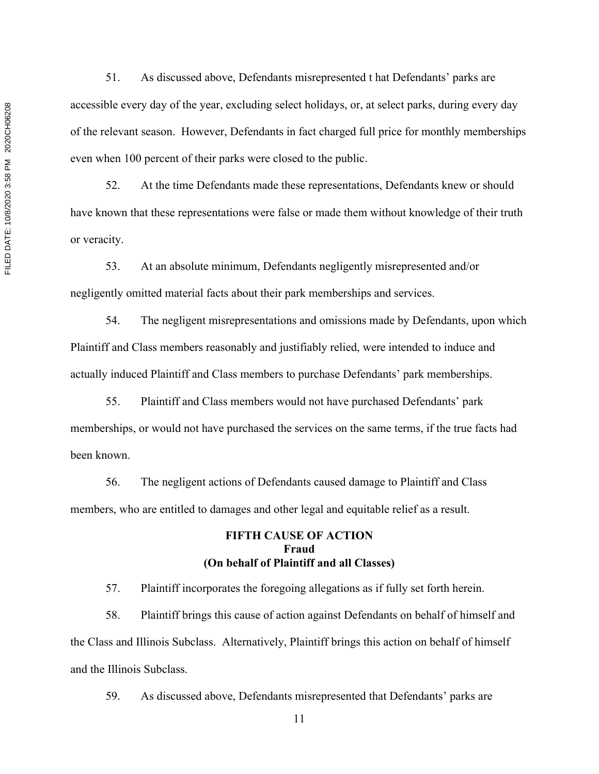51. As discussed above, Defendants misrepresented t hat Defendants' parks are accessible every day of the year, excluding select holidays, or, at select parks, during every day of the relevant season. However, Defendants in fact charged full price for monthly memberships even when 100 percent of their parks were closed to the public.

52. At the time Defendants made these representations, Defendants knew or should have known that these representations were false or made them without knowledge of their truth or veracity.

53. At an absolute minimum, Defendants negligently misrepresented and/or negligently omitted material facts about their park memberships and services.

54. The negligent misrepresentations and omissions made by Defendants, upon which Plaintiff and Class members reasonably and justifiably relied, were intended to induce and actually induced Plaintiff and Class members to purchase Defendants' park memberships.

55. Plaintiff and Class members would not have purchased Defendants' park memberships, or would not have purchased the services on the same terms, if the true facts had been known.

56. The negligent actions of Defendants caused damage to Plaintiff and Class members, who are entitled to damages and other legal and equitable relief as a result.

## **FIFTH CAUSE OF ACTION Fraud (On behalf of Plaintiff and all Classes)**

57. Plaintiff incorporates the foregoing allegations as if fully set forth herein.

58. Plaintiff brings this cause of action against Defendants on behalf of himself and the Class and Illinois Subclass. Alternatively, Plaintiff brings this action on behalf of himself and the Illinois Subclass.

59. As discussed above, Defendants misrepresented that Defendants' parks are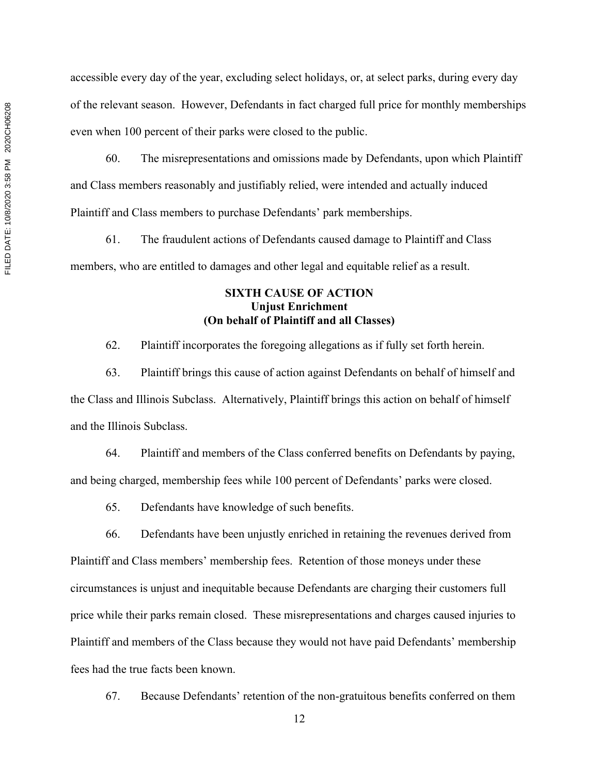accessible every day of the year, excluding select holidays, or, at select parks, during every day of the relevant season. However, Defendants in fact charged full price for monthly memberships even when 100 percent of their parks were closed to the public.

60. The misrepresentations and omissions made by Defendants, upon which Plaintiff and Class members reasonably and justifiably relied, were intended and actually induced Plaintiff and Class members to purchase Defendants' park memberships.

61. The fraudulent actions of Defendants caused damage to Plaintiff and Class members, who are entitled to damages and other legal and equitable relief as a result.

## **SIXTH CAUSE OF ACTION Unjust Enrichment (On behalf of Plaintiff and all Classes)**

62. Plaintiff incorporates the foregoing allegations as if fully set forth herein.

63. Plaintiff brings this cause of action against Defendants on behalf of himself and the Class and Illinois Subclass. Alternatively, Plaintiff brings this action on behalf of himself and the Illinois Subclass.

64. Plaintiff and members of the Class conferred benefits on Defendants by paying, and being charged, membership fees while 100 percent of Defendants' parks were closed.

65. Defendants have knowledge of such benefits.

66. Defendants have been unjustly enriched in retaining the revenues derived from Plaintiff and Class members' membership fees. Retention of those moneys under these circumstances is unjust and inequitable because Defendants are charging their customers full price while their parks remain closed. These misrepresentations and charges caused injuries to Plaintiff and members of the Class because they would not have paid Defendants' membership fees had the true facts been known.

67. Because Defendants' retention of the non-gratuitous benefits conferred on them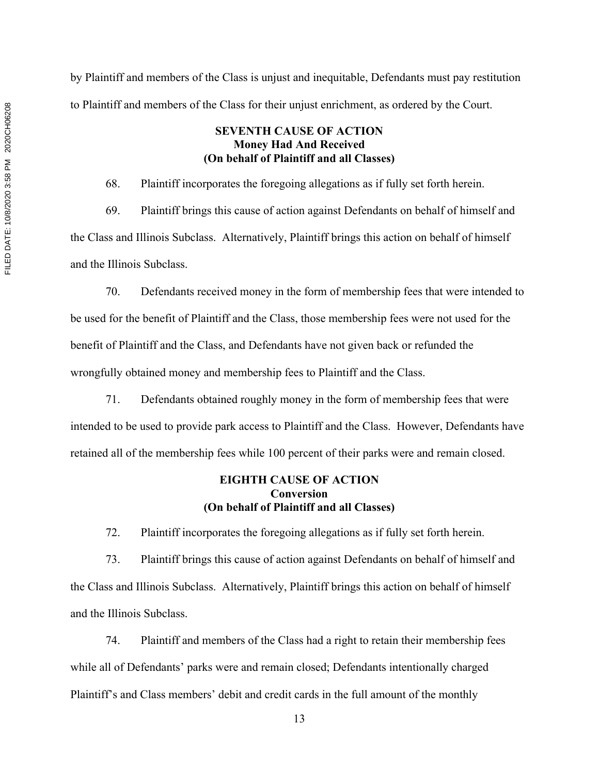by Plaintiff and members of the Class is unjust and inequitable, Defendants must pay restitution to Plaintiff and members of the Class for their unjust enrichment, as ordered by the Court.

## **SEVENTH CAUSE OF ACTION Money Had And Received (On behalf of Plaintiff and all Classes)**

68. Plaintiff incorporates the foregoing allegations as if fully set forth herein.

69. Plaintiff brings this cause of action against Defendants on behalf of himself and the Class and Illinois Subclass. Alternatively, Plaintiff brings this action on behalf of himself and the Illinois Subclass.

70. Defendants received money in the form of membership fees that were intended to be used for the benefit of Plaintiff and the Class, those membership fees were not used for the benefit of Plaintiff and the Class, and Defendants have not given back or refunded the wrongfully obtained money and membership fees to Plaintiff and the Class.

71. Defendants obtained roughly money in the form of membership fees that were intended to be used to provide park access to Plaintiff and the Class. However, Defendants have retained all of the membership fees while 100 percent of their parks were and remain closed.

#### **EIGHTH CAUSE OF ACTION Conversion (On behalf of Plaintiff and all Classes)**

72. Plaintiff incorporates the foregoing allegations as if fully set forth herein.

73. Plaintiff brings this cause of action against Defendants on behalf of himself and the Class and Illinois Subclass. Alternatively, Plaintiff brings this action on behalf of himself and the Illinois Subclass.

74. Plaintiff and members of the Class had a right to retain their membership fees while all of Defendants' parks were and remain closed; Defendants intentionally charged Plaintiff's and Class members' debit and credit cards in the full amount of the monthly

FILED DATE: 10/8/2020 3:58 PM 2020CH06208 FILED DATE: 10/8/2020 3:58 PM 2020CH06208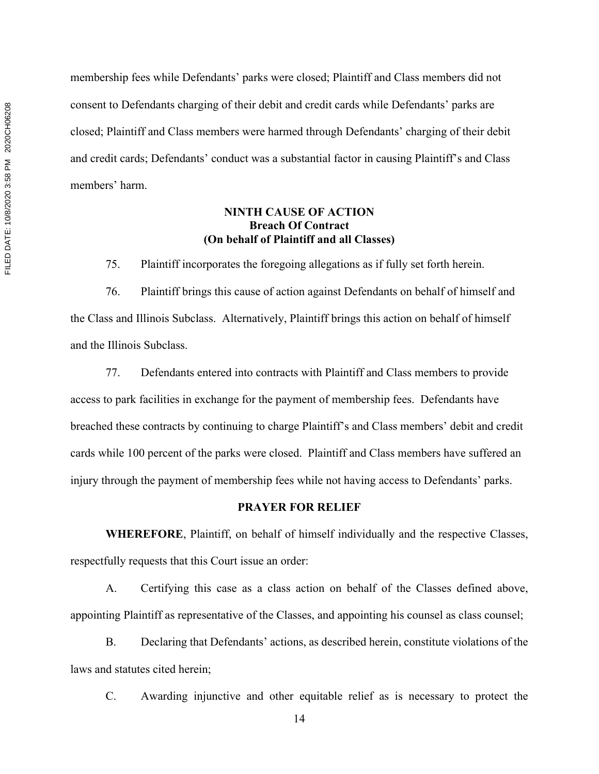membership fees while Defendants' parks were closed; Plaintiff and Class members did not consent to Defendants charging of their debit and credit cards while Defendants' parks are closed; Plaintiff and Class members were harmed through Defendants' charging of their debit and credit cards; Defendants' conduct was a substantial factor in causing Plaintiff's and Class members' harm.

### **NINTH CAUSE OF ACTION Breach Of Contract (On behalf of Plaintiff and all Classes)**

75. Plaintiff incorporates the foregoing allegations as if fully set forth herein.

76. Plaintiff brings this cause of action against Defendants on behalf of himself and the Class and Illinois Subclass. Alternatively, Plaintiff brings this action on behalf of himself and the Illinois Subclass.

77. Defendants entered into contracts with Plaintiff and Class members to provide access to park facilities in exchange for the payment of membership fees. Defendants have breached these contracts by continuing to charge Plaintiff's and Class members' debit and credit cards while 100 percent of the parks were closed. Plaintiff and Class members have suffered an injury through the payment of membership fees while not having access to Defendants' parks.

## **PRAYER FOR RELIEF**

 **WHEREFORE**, Plaintiff, on behalf of himself individually and the respective Classes, respectfully requests that this Court issue an order:

A. Certifying this case as a class action on behalf of the Classes defined above, appointing Plaintiff as representative of the Classes, and appointing his counsel as class counsel;

B. Declaring that Defendants' actions, as described herein, constitute violations of the laws and statutes cited herein;

C. Awarding injunctive and other equitable relief as is necessary to protect the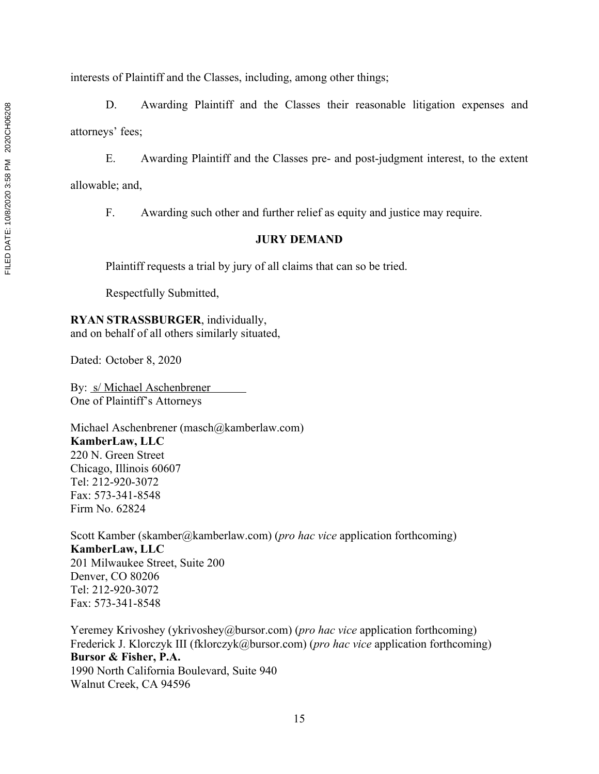interests of Plaintiff and the Classes, including, among other things;

D. Awarding Plaintiff and the Classes their reasonable litigation expenses and attorneys' fees;

E. Awarding Plaintiff and the Classes pre- and post-judgment interest, to the extent allowable; and,

F. Awarding such other and further relief as equity and justice may require.

# **JURY DEMAND**

Plaintiff requests a trial by jury of all claims that can so be tried.

Respectfully Submitted,

**RYAN STRASSBURGER**, individually, and on behalf of all others similarly situated,

Dated: October 8, 2020

By: s/ Michael Aschenbrener One of Plaintiff's Attorneys

Michael Aschenbrener (masch@kamberlaw.com) **KamberLaw, LLC** 220 N. Green Street Chicago, Illinois 60607 Tel: 212-920-3072 Fax: 573-341-8548 Firm No. 62824

Scott Kamber (skamber@kamberlaw.com) (*pro hac vice* application forthcoming) **KamberLaw, LLC** 201 Milwaukee Street, Suite 200 Denver, CO 80206 Tel: 212-920-3072 Fax: 573-341-8548

Yeremey Krivoshey (ykrivoshey@bursor.com) (*pro hac vice* application forthcoming) Frederick J. Klorczyk III (fklorczyk@bursor.com) (*pro hac vice* application forthcoming) **Bursor & Fisher, P.A.** 1990 North California Boulevard, Suite 940 Walnut Creek, CA 94596